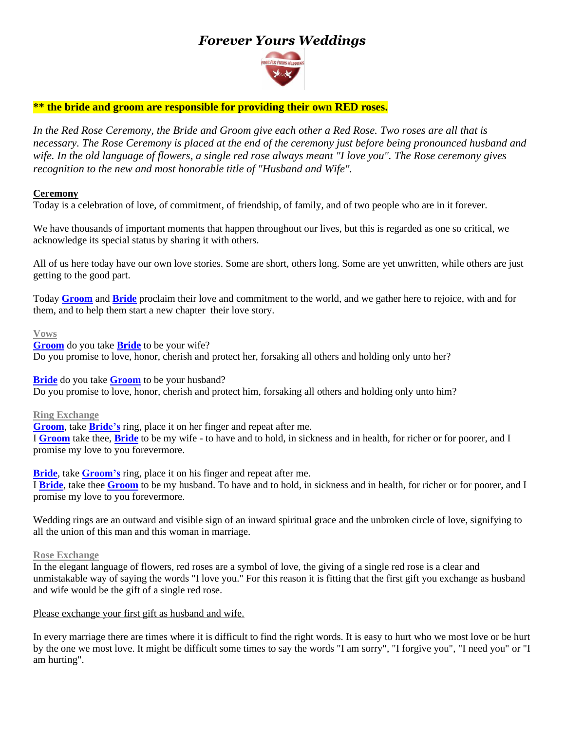# *Forever Yours Weddings*



# **\*\* the bride and groom are responsible for providing their own RED roses.**

*In the Red Rose Ceremony, the Bride and Groom give each other a Red Rose. Two roses are all that is necessary. The Rose Ceremony is placed at the end of the ceremony just before being pronounced husband and wife. In the old language of flowers, a single red rose always meant "I love you". The Rose ceremony gives recognition to the new and most honorable title of "Husband and Wife".*

## **Ceremony**

Today is a celebration of love, of commitment, of friendship, of family, and of two people who are in it forever.

We have thousands of important moments that happen throughout our lives, but this is regarded as one so critical, we acknowledge its special status by sharing it with others.

All of us here today have our own love stories. Some are short, others long. Some are yet unwritten, while others are just getting to the good part.

Today **Groom** and **Bride** proclaim their love and commitment to the world, and we gather here to rejoice, with and for them, and to help them start a new chapter their love story.

#### **Vows**

**Groom** do you take **Bride** to be your wife? Do you promise to love, honor, cherish and protect her, forsaking all others and holding only unto her?

**Bride** do you take **Groom** to be your husband? Do you promise to love, honor*,* cherish and protect him, forsaking all others and holding only unto him?

**Ring Exchange**

**Groom**, take **Bride's** ring, place it on her finger and repeat after me.

I **Groom** take thee, **Bride** to be my wife - to have and to hold, in sickness and in health, for richer or for poorer, and I promise my love to you forevermore.

**Bride**, take **Groom's** ring, place it on his finger and repeat after me. I **Bride**, take thee **Groom** to be my husband. To have and to hold, in sickness and in health, for richer or for poorer, and I promise my love to you forevermore.

Wedding rings are an outward and visible sign of an inward spiritual grace and the unbroken circle of love, signifying to all the union of this man and this woman in marriage.

### **Rose Exchange**

In the elegant language of flowers, red roses are a symbol of love, the giving of a single red rose is a clear and unmistakable way of saying the words "I love you." For this reason it is fitting that the first gift you exchange as husband and wife would be the gift of a single red rose.

### Please exchange your first gift as husband and wife.

In every marriage there are times where it is difficult to find the right words. It is easy to hurt who we most love or be hurt by the one we most love. It might be difficult some times to say the words "I am sorry", "I forgive you", "I need you" or "I am hurting".